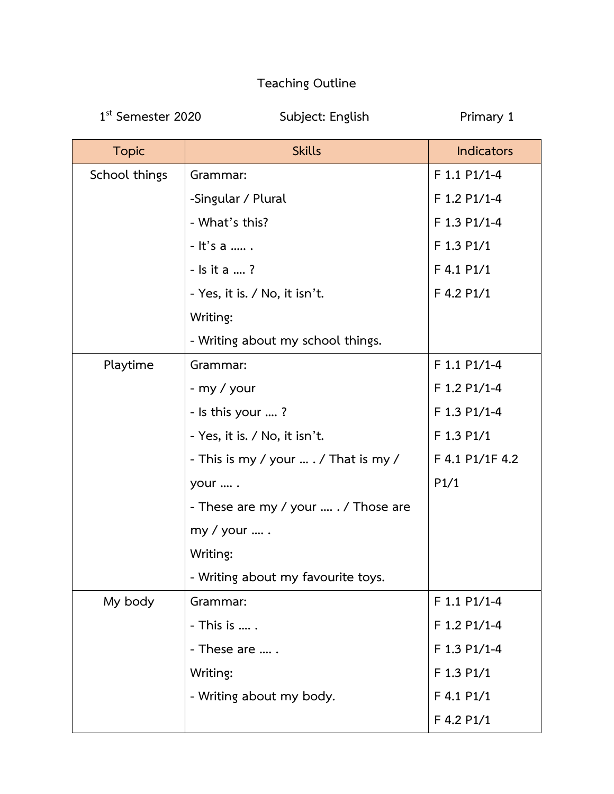## **Teaching Outline**

1<sup>st</sup> Semester 2020

**Subject: English** Primary 1

| <b>Topic</b>  | <b>Skills</b>                         | <b>Indicators</b> |
|---------------|---------------------------------------|-------------------|
| School things | Grammar:                              | F 1.1 P1/1-4      |
|               | -Singular / Plural                    | F 1.2 P1/1-4      |
|               | - What's this?                        | F 1.3 P1/1-4      |
|               | - It's a                              | F 1.3 P1/1        |
|               | - Is it a ?                           | F 4.1 P1/1        |
|               | - Yes, it is. / No, it isn't.         | F 4.2 P1/1        |
|               | Writing:                              |                   |
|               | - Writing about my school things.     |                   |
| Playtime      | Grammar:                              | F 1.1 P1/1-4      |
|               | - my / your                           | F 1.2 P1/1-4      |
|               | - Is this your ?                      | F 1.3 P1/1-4      |
|               | - Yes, it is. / No, it isn't.         | F 1.3 P1/1        |
|               | - This is my / your $$ / That is my / | F 4.1 P1/1F 4.2   |
|               | your  .                               | P1/1              |
|               | - These are my / your  . / Those are  |                   |
|               | my / your  .                          |                   |
|               | Writing:                              |                   |
|               | - Writing about my favourite toys.    |                   |
| My body       | Grammar:                              | F 1.1 P1/1-4      |
|               | - This is  .                          | F 1.2 P1/1-4      |
|               | - These are                           | F 1.3 P1/1-4      |
|               | Writing:                              | F 1.3 P1/1        |
|               | - Writing about my body.              | F 4.1 P1/1        |
|               |                                       | F 4.2 P1/1        |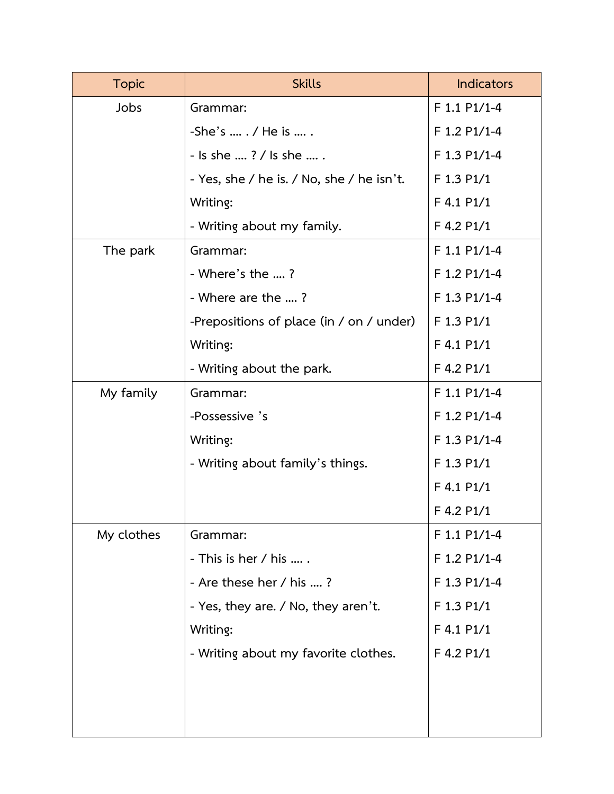| <b>Topic</b> | <b>Skills</b>                             | <b>Indicators</b> |
|--------------|-------------------------------------------|-------------------|
| Jobs         | Grammar:                                  | F 1.1 P1/1-4      |
|              | $-$ She's  . / He is  .                   | F 1.2 P1/1-4      |
|              | - Is she ? / Is she  .                    | F 1.3 P1/1-4      |
|              | - Yes, she / he is. / No, she / he isn't. | F 1.3 P1/1        |
|              | Writing:                                  | $F$ 4.1 P1/1      |
|              | - Writing about my family.                | F 4.2 P1/1        |
| The park     | Grammar:                                  | F 1.1 P1/1-4      |
|              | - Where's the ?                           | F 1.2 P1/1-4      |
|              | - Where are the ?                         | F 1.3 P1/1-4      |
|              | -Prepositions of place (in / on / under)  | F 1.3 P1/1        |
|              | Writing:                                  | F 4.1 P1/1        |
|              | - Writing about the park.                 | F 4.2 P1/1        |
| My family    | Grammar:                                  | F 1.1 P1/1-4      |
|              | -Possessive 's                            | F 1.2 P1/1-4      |
|              | Writing:                                  | F 1.3 P1/1-4      |
|              | - Writing about family's things.          | F 1.3 P1/1        |
|              |                                           | F 4.1 P1/1        |
|              |                                           | F 4.2 P1/1        |
| My clothes   | Grammar:                                  | $F$ 1.1 P1/1-4    |
|              | - This is her $/$ his                     | F 1.2 P1/1-4      |
|              | - Are these her / his ?                   | F 1.3 P1/1-4      |
|              | - Yes, they are. / No, they aren't.       | F 1.3 P1/1        |
|              | Writing:                                  | F 4.1 P1/1        |
|              | - Writing about my favorite clothes.      | F 4.2 P1/1        |
|              |                                           |                   |
|              |                                           |                   |
|              |                                           |                   |